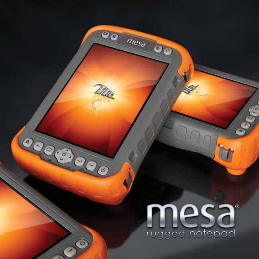

**Service** 

₹

00

 $\odot$ 

 $\hat{Q}$ 

 $\begin{pmatrix} 1 & 1 \\ 0 & 1 \end{pmatrix}$ 

 $\rightarrow$ 

30

 $\omega$ 

 $mesa$ 

00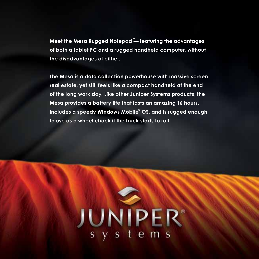**Meet the Mesa Rugged Notepad™ — featuring the advantages of both a tablet PC and a rugged handheld computer, without the disadvantages of either.**

**The Mesa is a data collection powerhouse with massive screen real estate, yet still feels like a compact handheld at the end of the long work day. Like other Juniper Systems products, the Mesa provides a battery life that lasts an amazing 16 hours, includes a speedy Windows Mobile® OS, and is rugged enough to use as a wheel chock if the truck starts to roll.**

# JUNIPER®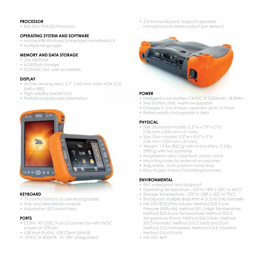#### **PROCESSOR**

• 806 Mhz PX A320 Processor

#### **OPERATING SYSTEM AND SOFTWARE**

- Microsoft® Windows Embedded Handheld 6.5
- Multiple languages

#### **MEMORY AND DATA STORAGE**

- • 256 MB RAM
- 4 GB flash storage
- SD/SDHC slot, user accessible

#### **DISPLAY**

- Active viewing area: 5.7" (145 mm) color VGA LCD (640 x 480)
- High visibility backlit LCD
- Portrait or landscape orientation



#### **KEYBOARD**

- 15 control buttons (6 user reassignable)
- Five-way directional navpad
- • Adjustable LED backlit keys

# **PORTS**

- COM1, RS-232C 9-pin D connector with 5VDC power on DTR pin
- • USB Host (Full A), USB Client (Mini B)
- • 12VDC @ 800mA, 10–18V unregulated

• 3.5 mm audio jack, supports speaker/ microphone or stereo output (pin detect)



#### **POWER**

- Intelligent Li-Ion battery 7.4VDC @ 2550mAh, 18.9Whr
- Two battery slots, warm-swappable
- Charges in 2 to 4 hours, operates up to 16 hours
- Battery easily changeable in field

## **PHYSICAL**

- • Size, Standard models: 5.3"w x 7.9"l x 2"d (136 mm x 200 mm x 51 mm)
- • Size, Geo models: 5.3"w x 8.6"l x 2"d (136 mm x 220 mm x 51 mm)
- Weight: 1.9 lbs (862 g) with one battery, 2.2 lbs (998 g) with two batteries
- Magnesium alloy case front, plastic back
- Mounting holes for external accessories
- Adjustable, multi-position hand strap
- Easy to grip, impact absorbing bumpers

#### **ENVIRONMENTAL**

- • IP67 waterproof and dustproof
- Operating Temperature: -22F to 140F (-30C to 60C)\*
- Storage Temperature: -22F to 158F (-30C to 70C)
- Shockproof: multiple drops from 4' (1.2 m) onto concrete
- MIL-STD-810G Procedures: Method 500.5 Low Pressure (Altitude); Method 501.5 High Temperature; Method 502.5 Low Temperature; Method 503.5 Temperature Shock; Method 506.5 Rain; Method 507.5 Humidity; Method 510.5 Sand and Dust; Method 512.5 Immersion; Method 514.6 Vibration; Method 516.6 Shock
- • MIL-STD-461F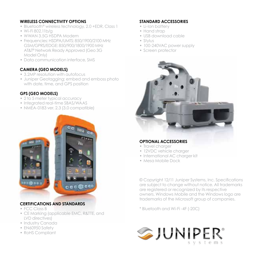#### **WIRELESS CONNECTIVITY OPTIONS**

- Bluetooth® wireless technology, 2.0 +EDR, Class 1
- • Wi-Fi 802.11b/g
- • WWAN 3.5G HSDPA Modem
- Frequencies: HSDPA/UMTS: 850/1900/2100 MHz GSM/GPRS/EDGE: 850/900/1800/1900 MHz AT&T® Network Ready Approved (Geo 3G Model Only)
- Data communication interface, SMS

#### **CAMERA (GEO MODELS)**

- 3.2MP resolution with autofocus
- Juniper Geotagging: embed and emboss photo with date, time, and GPS position

## **GPS (GEO MODELS)**

- 2 to 5 meter typical accuracy
- Integrated real-time SBAS/WAAS
- • NMEA-0183 ver. 2.3 (3.0 compatible)



# **CERTIFICATIONS AND STANDARDS**

- FCC Class B
- • CE Marking (applicable EMC, R&TTE, and LVD directives)
- Industry Canada
- EN60950 Safety
- • RoHS Compliant

#### **STANDARD ACCESSORIES**

- Li-Ion battery
- Hand strap
- • USB download cable
- • Stylus
- 100-240VAC power supply
- • Screen protector



#### **OPTIONAL ACCESSORIES**

- Travel charger
- 12VDC vehicle charger
- International AC charger kit
- Mesa Mobile Dock

© Copyright 12/11 Juniper Systems, Inc. Specifications are subject to change without notice. All trademarks are registered or recognized by its respective owners. Windows Mobile and the Windows logo are trademarks of the Microsoft group of companies.

\* Bluetooth and Wi-Fi -4F (-20C)

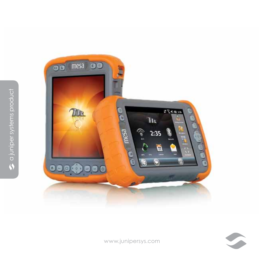



www.junipersys.com